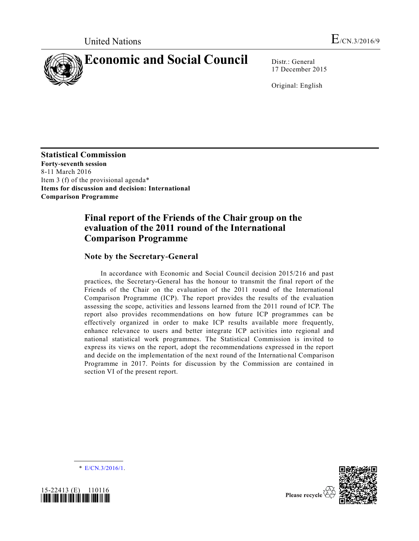

17 December 2015

Original: English

**Statistical Commission Forty-seventh session**  8-11 March 2016 Item 3 (f) of the provisional agenda\* **Items for discussion and decision: International Comparison Programme**

# **Final report of the Friends of the Chair group on the evaluation of the 2011 round of the International Comparison Programme**

# **Note by the Secretary-General**

In accordance with Economic and Social Council decision 2015/216 and past practices, the Secretary-General has the honour to transmit the final report of the Friends of the Chair on the evaluation of the 2011 round of the International Comparison Programme (ICP). The report provides the results of the evaluation assessing the scope, activities and lessons learned from the 2011 round of ICP. The report also provides recommendations on how future ICP programmes can be effectively organized in order to make ICP results available more frequently, enhance relevance to users and better integrate ICP activities into regional and national statistical work programmes. The Statistical Commission is invited to express its views on the report, adopt the recommendations expressed in the report and decide on the implementation of the next round of the International Comparison Programme in 2017. Points for discussion by the Commission are contained in section VI of the present report.

\* [E/CN.3/2016/1.](http://undocs.org/E/CN.3/2016/1)





Please recycle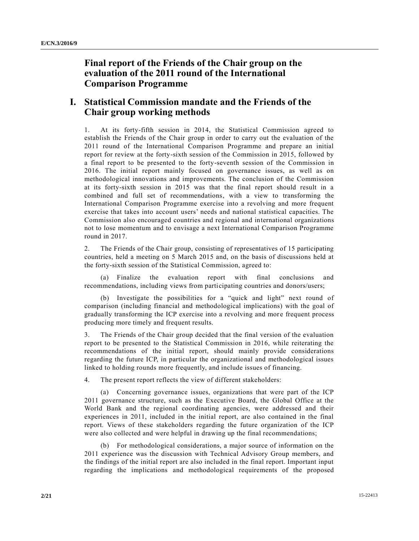# **Final report of the Friends of the Chair group on the evaluation of the 2011 round of the International Comparison Programme**

# **I. Statistical Commission mandate and the Friends of the Chair group working methods**

1. At its forty-fifth session in 2014, the Statistical Commission agreed to establish the Friends of the Chair group in order to carry out the evaluation of the 2011 round of the International Comparison Programme and prepare an initial report for review at the forty-sixth session of the Commission in 2015, followed by a final report to be presented to the forty-seventh session of the Commission in 2016. The initial report mainly focused on governance issues, as well as on methodological innovations and improvements. The conclusion of the Commission at its forty-sixth session in 2015 was that the final report should result in a combined and full set of recommendations, with a view to transforming the International Comparison Programme exercise into a revolving and more frequent exercise that takes into account users' needs and national statistical capacities. The Commission also encouraged countries and regional and international organizations not to lose momentum and to envisage a next International Comparison Programme round in 2017.

2. The Friends of the Chair group, consisting of representatives of 15 participating countries, held a meeting on 5 March 2015 and, on the basis of discussions held at the forty-sixth session of the Statistical Commission, agreed to:

(a) Finalize the evaluation report with final conclusions and recommendations, including views from participating countries and donors/users;

(b) Investigate the possibilities for a "quick and light" next round of comparison (including financial and methodological implications) with the goal of gradually transforming the ICP exercise into a revolving and more frequent process producing more timely and frequent results.

3. The Friends of the Chair group decided that the final version of the evaluation report to be presented to the Statistical Commission in 2016, while reiterating the recommendations of the initial report, should mainly provide considerations regarding the future ICP, in particular the organizational and methodological issues linked to holding rounds more frequently, and include issues of financing.

4. The present report reflects the view of different stakeholders:

(a) Concerning governance issues, organizations that were part of the ICP 2011 governance structure, such as the Executive Board, the Global Office at the World Bank and the regional coordinating agencies, were addressed and their experiences in 2011, included in the initial report, are also contained in the final report. Views of these stakeholders regarding the future organization of the ICP were also collected and were helpful in drawing up the final recommendations;

(b) For methodological considerations, a major source of information on the 2011 experience was the discussion with Technical Advisory Group members, and the findings of the initial report are also included in the final report. Important input regarding the implications and methodological requirements of the proposed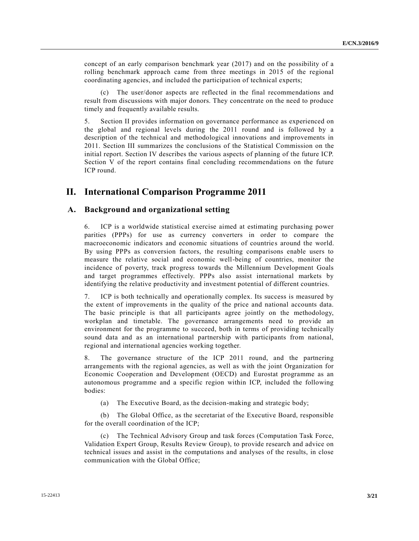concept of an early comparison benchmark year (2017) and on the possibility of a rolling benchmark approach came from three meetings in 2015 of the regional coordinating agencies, and included the participation of technical experts;

(c) The user/donor aspects are reflected in the final recommendations and result from discussions with major donors. They concentrate on the need to produce timely and frequently available results.

5. Section II provides information on governance performance as experienced on the global and regional levels during the 2011 round and is followed by a description of the technical and methodological innovations and improvements in 2011. Section III summarizes the conclusions of the Statistical Commission on the initial report. Section IV describes the various aspects of planning of the future ICP. Section V of the report contains final concluding recommendations on the future ICP round.

# **II. International Comparison Programme 2011**

# **A. Background and organizational setting**

6. ICP is a worldwide statistical exercise aimed at estimating purchasing power parities (PPPs) for use as currency converters in order to compare the macroeconomic indicators and economic situations of countries around the world. By using PPPs as conversion factors, the resulting comparisons enable users to measure the relative social and economic well-being of countries, monitor the incidence of poverty, track progress towards the Millennium Development Goals and target programmes effectively. PPPs also assist international markets by identifying the relative productivity and investment potential of different countries.

7. ICP is both technically and operationally complex. Its success is measured by the extent of improvements in the quality of the price and national accounts data. The basic principle is that all participants agree jointly on the methodology, workplan and timetable. The governance arrangements need to provide an environment for the programme to succeed, both in terms of providing technically sound data and as an international partnership with participants from national, regional and international agencies working together.

8. The governance structure of the ICP 2011 round, and the partnering arrangements with the regional agencies, as well as with the joint Organization for Economic Cooperation and Development (OECD) and Eurostat programme as an autonomous programme and a specific region within ICP, included the following bodies:

(a) The Executive Board, as the decision-making and strategic body;

(b) The Global Office, as the secretariat of the Executive Board, responsible for the overall coordination of the ICP;

(c) The Technical Advisory Group and task forces (Computation Task Force, Validation Expert Group, Results Review Group), to provide research and advice on technical issues and assist in the computations and analyses of the results, in close communication with the Global Office;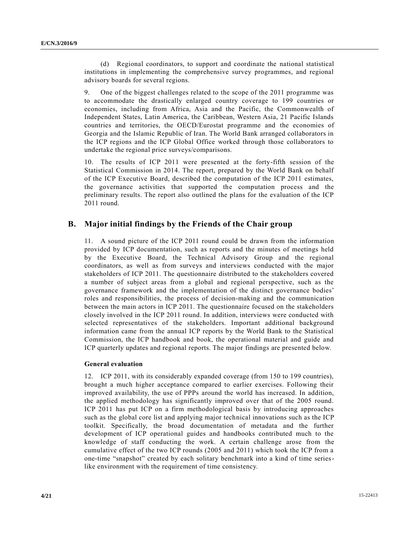(d) Regional coordinators, to support and coordinate the national statistical institutions in implementing the comprehensive survey programmes, and regional advisory boards for several regions.

9. One of the biggest challenges related to the scope of the 2011 programme was to accommodate the drastically enlarged country coverage to 199 countries or economies, including from Africa, Asia and the Pacific, the Commonwealth of Independent States, Latin America, the Caribbean, Western Asia, 21 Pacific Islands countries and territories, the OECD/Eurostat programme and the economies of Georgia and the Islamic Republic of Iran. The World Bank arranged collaborators in the ICP regions and the ICP Global Office worked through those collaborators to undertake the regional price surveys/comparisons.

10. The results of ICP 2011 were presented at the forty-fifth session of the Statistical Commission in 2014. The report, prepared by the World Bank on behalf of the ICP Executive Board, described the computation of the ICP 2011 estimates, the governance activities that supported the computation process and the preliminary results. The report also outlined the plans for the evaluation of the ICP 2011 round.

## **B. Major initial findings by the Friends of the Chair group**

11. A sound picture of the ICP 2011 round could be drawn from the information provided by ICP documentation, such as reports and the minutes of meetings held by the Executive Board, the Technical Advisory Group and the regional coordinators, as well as from surveys and interviews conducted with the major stakeholders of ICP 2011. The questionnaire distributed to the stakeholders covered a number of subject areas from a global and regional perspective, such as the governance framework and the implementation of the distinct governance bodies' roles and responsibilities, the process of decision-making and the communication between the main actors in ICP 2011. The questionnaire focused on the stakeholders closely involved in the ICP 2011 round. In addition, interviews were conducted with selected representatives of the stakeholders. Important additional background information came from the annual ICP reports by the World Bank to the Statistical Commission, the ICP handbook and book, the operational material and guide and ICP quarterly updates and regional reports. The major findings are presented below.

### **General evaluation**

12. ICP 2011, with its considerably expanded coverage (from 150 to 199 countries), brought a much higher acceptance compared to earlier exercises. Following their improved availability, the use of PPPs around the world has increased. In addition, the applied methodology has significantly improved over that of the 2005 round. ICP 2011 has put ICP on a firm methodological basis by introducing approaches such as the global core list and applying major technical innovations such as the ICP toolkit. Specifically, the broad documentation of metadata and the further development of ICP operational guides and handbooks contributed much to the knowledge of staff conducting the work. A certain challenge arose from the cumulative effect of the two ICP rounds (2005 and 2011) which took the ICP from a one-time "snapshot" created by each solitary benchmark into a kind of time serieslike environment with the requirement of time consistency.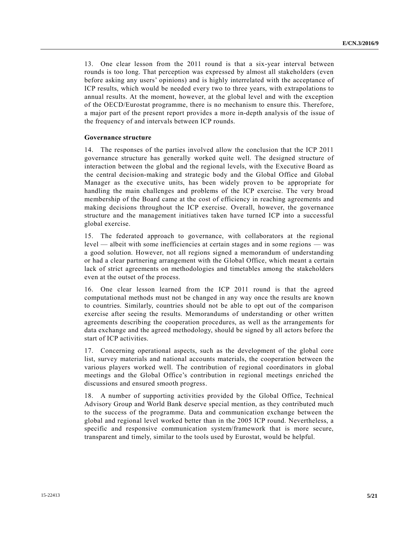13. One clear lesson from the 2011 round is that a six-year interval between rounds is too long. That perception was expressed by almost all stakeholders (even before asking any users' opinions) and is highly interrelated with the acceptance of ICP results, which would be needed every two to three years, with extrapolations to annual results. At the moment, however, at the global level and with the exception of the OECD/Eurostat programme, there is no mechanism to ensure this. Therefore, a major part of the present report provides a more in-depth analysis of the issue of the frequency of and intervals between ICP rounds.

#### **Governance structure**

14. The responses of the parties involved allow the conclusion that the ICP 2011 governance structure has generally worked quite well. The designed structure of interaction between the global and the regional levels, with the Executive Board as the central decision-making and strategic body and the Global Office and Global Manager as the executive units, has been widely proven to be appropriate for handling the main challenges and problems of the ICP exercise. The very broad membership of the Board came at the cost of efficiency in reaching agreements and making decisions throughout the ICP exercise. Overall, however, the governance structure and the management initiatives taken have turned ICP into a successful global exercise.

15. The federated approach to governance, with collaborators at the regional level — albeit with some inefficiencies at certain stages and in some regions — was a good solution. However, not all regions signed a memorandum of understanding or had a clear partnering arrangement with the Global Office, which meant a certain lack of strict agreements on methodologies and timetables among the stakeholders even at the outset of the process.

16. One clear lesson learned from the ICP 2011 round is that the agreed computational methods must not be changed in any way once the results are known to countries. Similarly, countries should not be able to opt out of the comparison exercise after seeing the results. Memorandums of understanding or other written agreements describing the cooperation procedures, as well as the arrangements for data exchange and the agreed methodology, should be signed by all actors before the start of ICP activities.

17. Concerning operational aspects, such as the development of the global core list, survey materials and national accounts materials, the cooperation between the various players worked well. The contribution of regional coordinators in global meetings and the Global Office's contribution in regional meetings enriched the discussions and ensured smooth progress.

18. A number of supporting activities provided by the Global Office, Technical Advisory Group and World Bank deserve special mention, as they contributed much to the success of the programme. Data and communication exchange between the global and regional level worked better than in the 2005 ICP round. Nevertheless, a specific and responsive communication system/framework that is more secure, transparent and timely, similar to the tools used by Eurostat, would be helpful.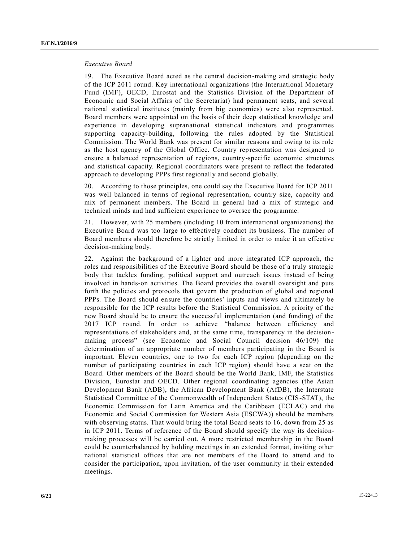#### *Executive Board*

19. The Executive Board acted as the central decision-making and strategic body of the ICP 2011 round. Key international organizations (the International Monetary Fund (IMF), OECD, Eurostat and the Statistics Division of the Department of Economic and Social Affairs of the Secretariat) had permanent seats, and several national statistical institutes (mainly from big economies) were also represented. Board members were appointed on the basis of their deep statistical knowledge and experience in developing supranational statistical indicators and programmes supporting capacity-building, following the rules adopted by the Statistical Commission. The World Bank was present for similar reasons and owing to its role as the host agency of the Global Office. Country representation was designed to ensure a balanced representation of regions, country-specific economic structures and statistical capacity. Regional coordinators were present to reflect the federated approach to developing PPPs first regionally and second globally.

20. According to those principles, one could say the Executive Board for ICP 2011 was well balanced in terms of regional representation, country size, capacity and mix of permanent members. The Board in general had a mix of strategic and technical minds and had sufficient experience to oversee the programme.

21. However, with 25 members (including 10 from international organizations) the Executive Board was too large to effectively conduct its business. The number of Board members should therefore be strictly limited in order to make it an effective decision-making body.

22. Against the background of a lighter and more integrated ICP approach, the roles and responsibilities of the Executive Board should be those of a truly strategic body that tackles funding, political support and outreach issues instead of being involved in hands-on activities. The Board provides the overall oversight and puts forth the policies and protocols that govern the production of global and regional PPPs. The Board should ensure the countries' inputs and views and ultimately be responsible for the ICP results before the Statistical Commission. A priority of the new Board should be to ensure the successful implementation (and funding) of the 2017 ICP round. In order to achieve "balance between efficiency and representations of stakeholders and, at the same time, transparency in the decision making process" (see Economic and Social Council decision 46/109) the determination of an appropriate number of members participating in the Board is important. Eleven countries, one to two for each ICP region (depending on the number of participating countries in each ICP region) should have a seat on the Board. Other members of the Board should be the World Bank, IMF, the Statistics Division, Eurostat and OECD. Other regional coordinating agencies (the Asian Development Bank (ADB), the African Development Bank (AfDB), the Interstate Statistical Committee of the Commonwealth of Independent States (CIS-STAT), the Economic Commission for Latin America and the Caribbean (ECLAC) and the Economic and Social Commission for Western Asia (ESCWA)) should be members with observing status. That would bring the total Board seats to 16, down from 25 as in ICP 2011. Terms of reference of the Board should specify the way its decisionmaking processes will be carried out. A more restricted membership in the Board could be counterbalanced by holding meetings in an extended format, inviting other national statistical offices that are not members of the Board to attend and to consider the participation, upon invitation, of the user community in their extended meetings.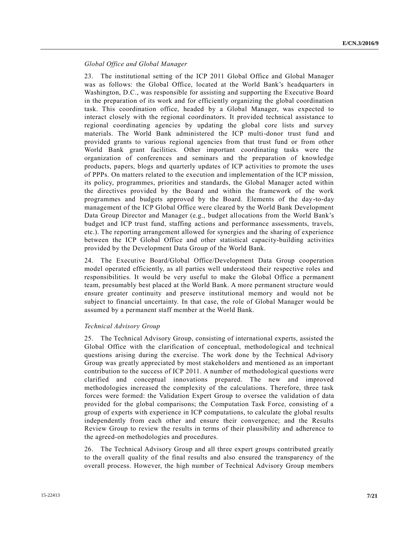## *Global Office and Global Manager*

23. The institutional setting of the ICP 2011 Global Office and Global Manager was as follows: the Global Office, located at the World Bank's headquarters in Washington, D.C., was responsible for assisting and supporting the Executive Board in the preparation of its work and for efficiently organizing the global coordination task. This coordination office, headed by a Global Manager, was expected to interact closely with the regional coordinators. It provided technical assistance to regional coordinating agencies by updating the global core lists and survey materials. The World Bank administered the ICP multi-donor trust fund and provided grants to various regional agencies from that trust fund or from other World Bank grant facilities. Other important coordinating tasks were the organization of conferences and seminars and the preparation of knowledge products, papers, blogs and quarterly updates of ICP activities to promote the uses of PPPs. On matters related to the execution and implementation of the ICP mission, its policy, programmes, priorities and standards, the Global Manager acted within the directives provided by the Board and within the framework of the work programmes and budgets approved by the Board. Elements of the day-to-day management of the ICP Global Office were cleared by the World Bank Development Data Group Director and Manager (e.g., budget allocations from the World Bank's budget and ICP trust fund, staffing actions and performance assessments, travels, etc.). The reporting arrangement allowed for synergies and the sharing of experience between the ICP Global Office and other statistical capacity-building activities provided by the Development Data Group of the World Bank.

24. The Executive Board/Global Office/Development Data Group cooperation model operated efficiently, as all parties well understood their respective roles and responsibilities. It would be very useful to make the Global Office a permanent team, presumably best placed at the World Bank. A more permanent structure would ensure greater continuity and preserve institutional memory and would not be subject to financial uncertainty. In that case, the role of Global Manager would be assumed by a permanent staff member at the World Bank.

### *Technical Advisory Group*

25. The Technical Advisory Group, consisting of international experts, assisted the Global Office with the clarification of conceptual, methodological and technical questions arising during the exercise. The work done by the Technical Advisory Group was greatly appreciated by most stakeholders and mentioned as an important contribution to the success of ICP 2011. A number of methodological questions were clarified and conceptual innovations prepared. The new and improved methodologies increased the complexity of the calculations. Therefore, three task forces were formed: the Validation Expert Group to oversee the validation of data provided for the global comparisons; the Computation Task Force, consisting of a group of experts with experience in ICP computations, to calculate the global results independently from each other and ensure their convergence; and the Results Review Group to review the results in terms of their plausibility and adherence to the agreed-on methodologies and procedures.

26. The Technical Advisory Group and all three expert groups contributed greatly to the overall quality of the final results and also ensured the transparency of the overall process. However, the high number of Technical Advisory Group members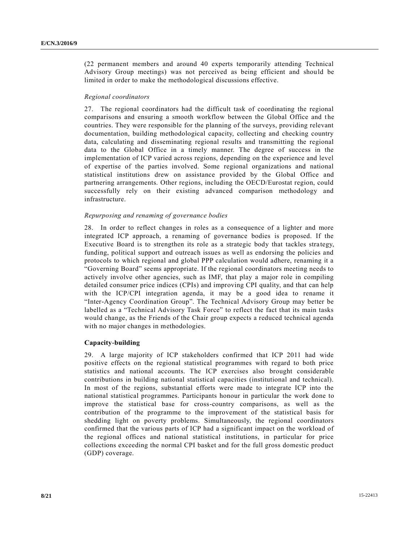(22 permanent members and around 40 experts temporarily attending Technical Advisory Group meetings) was not perceived as being efficient and should be limited in order to make the methodological discussions effective.

#### *Regional coordinators*

27. The regional coordinators had the difficult task of coordinating the regional comparisons and ensuring a smooth workflow between the Global Office and the countries. They were responsible for the planning of the surveys, providing relevant documentation, building methodological capacity, collecting and checking country data, calculating and disseminating regional results and transmitting the regional data to the Global Office in a timely manner. The degree of success in the implementation of ICP varied across regions, depending on the experience and level of expertise of the parties involved. Some regional organizations and national statistical institutions drew on assistance provided by the Global Office and partnering arrangements. Other regions, including the OECD/Eurostat region, could successfully rely on their existing advanced comparison methodology and infrastructure.

### *Repurposing and renaming of governance bodies*

28. In order to reflect changes in roles as a consequence of a lighter and more integrated ICP approach, a renaming of governance bodies is proposed. If the Executive Board is to strengthen its role as a strategic body that tackles strategy, funding, political support and outreach issues as well as endorsing the policies and protocols to which regional and global PPP calculation would adhere, renaming it a "Governing Board" seems appropriate. If the regional coordinators meeting needs to actively involve other agencies, such as IMF, that play a major role in compiling detailed consumer price indices (CPIs) and improving CPI quality, and that can help with the ICP/CPI integration agenda, it may be a good idea to rename it "Inter-Agency Coordination Group". The Technical Advisory Group may better be labelled as a "Technical Advisory Task Force" to reflect the fact that its main tasks would change, as the Friends of the Chair group expects a reduced technical agenda with no major changes in methodologies.

### **Capacity-building**

29. A large majority of ICP stakeholders confirmed that ICP 2011 had wide positive effects on the regional statistical programmes with regard to both price statistics and national accounts. The ICP exercises also brought considerable contributions in building national statistical capacities (institutional and technical). In most of the regions, substantial efforts were made to integrate ICP into the national statistical programmes. Participants honour in particular the work done to improve the statistical base for cross-country comparisons, as well as the contribution of the programme to the improvement of the statistical basis for shedding light on poverty problems. Simultaneously, the regional coordinators confirmed that the various parts of ICP had a significant impact on the workload of the regional offices and national statistical institutions, in particular for price collections exceeding the normal CPI basket and for the full gross domestic product (GDP) coverage.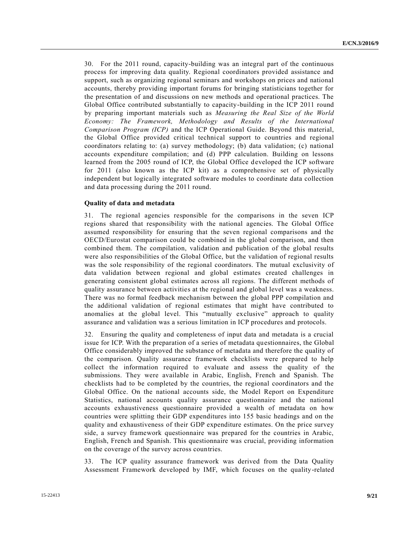30. For the 2011 round, capacity-building was an integral part of the continuous process for improving data quality. Regional coordinators provided assistance and support, such as organizing regional seminars and workshops on prices and national accounts, thereby providing important forums for bringing statisticians together for the presentation of and discussions on new methods and operational practices. The Global Office contributed substantially to capacity-building in the ICP 2011 round by preparing important materials such as *Measuring the Real Size of the World Economy: The Framework, Methodology and Results of the International Comparison Program (ICP)* and the ICP Operational Guide. Beyond this material, the Global Office provided critical technical support to countries and regional coordinators relating to: (a) survey methodology; (b) data validation; (c) national accounts expenditure compilation; and (d) PPP calculation. Building on lessons learned from the 2005 round of ICP, the Global Office developed the ICP software for 2011 (also known as the ICP kit) as a comprehensive set of physically independent but logically integrated software modules to coordinate data collection and data processing during the 2011 round.

### **Quality of data and metadata**

31. The regional agencies responsible for the comparisons in the seven ICP regions shared that responsibility with the national agencies. The Global Office assumed responsibility for ensuring that the seven regional comparisons and the OECD/Eurostat comparison could be combined in the global comparison, and then combined them. The compilation, validation and publication of the global results were also responsibilities of the Global Office, but the validation of regional results was the sole responsibility of the regional coordinators. The mutual exclusivity of data validation between regional and global estimates created challenges in generating consistent global estimates across all regions. The different methods of quality assurance between activities at the regional and global level was a weakness. There was no formal feedback mechanism between the global PPP compilation and the additional validation of regional estimates that might have contributed to anomalies at the global level. This "mutually exclusive" approach to quality assurance and validation was a serious limitation in ICP procedures and protocols.

32. Ensuring the quality and completeness of input data and metadata is a crucial issue for ICP. With the preparation of a series of metadata questionnaires, the Global Office considerably improved the substance of metadata and therefore the quality of the comparison. Quality assurance framework checklists were prepared to help collect the information required to evaluate and assess the quality of the submissions. They were available in Arabic, English, French and Spanish. The checklists had to be completed by the countries, the regional coordinators and the Global Office. On the national accounts side, the Model Report on Expenditure Statistics, national accounts quality assurance questionnaire and the national accounts exhaustiveness questionnaire provided a wealth of metadata on how countries were splitting their GDP expenditures into 155 basic headings and on the quality and exhaustiveness of their GDP expenditure estimates. On the price survey side, a survey framework questionnaire was prepared for the countries in Arabic, English, French and Spanish. This questionnaire was crucial, providing information on the coverage of the survey across countries.

33. The ICP quality assurance framework was derived from the Data Quality Assessment Framework developed by IMF, which focuses on the quality-related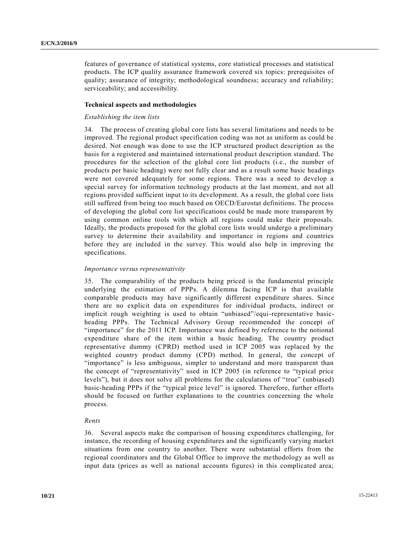features of governance of statistical systems, core statistical processes and statistical products. The ICP quality assurance framework covered six topics: prerequisites of quality; assurance of integrity; methodological soundness; accuracy and reliability; serviceability; and accessibility.

#### **Technical aspects and methodologies**

#### *Establishing the item lists*

34. The process of creating global core lists has several limitations and needs to be improved. The regional product specification coding was not as uniform as could be desired. Not enough was done to use the ICP structured product description as the basis for a registered and maintained international product description standard. The procedures for the selection of the global core list products (i.e., the number of products per basic heading) were not fully clear and as a result some basic head ings were not covered adequately for some regions. There was a need to develop a special survey for information technology products at the last moment, and not all regions provided sufficient input to its development. As a result, the global core lists still suffered from being too much based on OECD/Eurostat definitions. The process of developing the global core list specifications could be made more transparent by using common online tools with which all regions could make their proposals. Ideally, the products proposed for the global core lists would undergo a preliminary survey to determine their availability and importance in regions and countries before they are included in the survey. This would also help in improving the specifications.

#### *Importance versus representativity*

35. The comparability of the products being priced is the fundamental principle underlying the estimation of PPPs. A dilemma facing ICP is that available comparable products may have significantly different expenditure shares. Since there are no explicit data on expenditures for individual products, indirect or implicit rough weighting is used to obtain "unbiased"/equi-representative basicheading PPPs. The Technical Advisory Group recommended the concept of "importance" for the 2011 ICP. Importance was defined by reference to the notional expenditure share of the item within a basic heading. The country product representative dummy (CPRD) method used in ICP 2005 was replaced by the weighted country product dummy (CPD) method. In general, the concept of "importance" is less ambiguous, simpler to understand and more transparent than the concept of "representativity" used in ICP 2005 (in reference to "typical price levels"), but it does not solve all problems for the calculations of "true" (unbiased) basic-heading PPPs if the "typical price level" is ignored. Therefore, further efforts should be focused on further explanations to the countries concerning the whole process.

### *Rents*

36. Several aspects make the comparison of housing expenditures challenging, for instance, the recording of housing expenditures and the significantly varying market situations from one country to another. There were substantial efforts from the regional coordinators and the Global Office to improve the me thodology as well as input data (prices as well as national accounts figures) in this complicated area;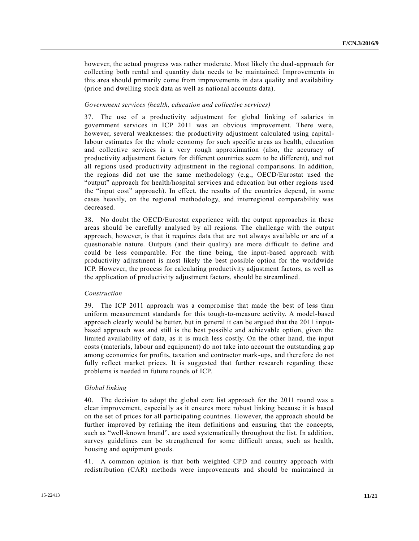however, the actual progress was rather moderate. Most likely the dual-approach for collecting both rental and quantity data needs to be maintained. Improvements in this area should primarily come from improvements in data quality and availability (price and dwelling stock data as well as national accounts data).

#### *Government services (health, education and collective services)*

37. The use of a productivity adjustment for global linking of salaries in government services in ICP 2011 was an obvious improvement. There were, however, several weaknesses: the productivity adjustment calculated using capitallabour estimates for the whole economy for such specific areas as health, education and collective services is a very rough approximation (also, the accuracy of productivity adjustment factors for different countries seem to be different), and not all regions used productivity adjustment in the regional comparisons. In addition, the regions did not use the same methodology (e.g., OECD/Eurostat used the "output" approach for health/hospital services and education but other regions used the "input cost" approach). In effect, the results of the countries depend, in some cases heavily, on the regional methodology, and interregional comparability was decreased.

38. No doubt the OECD/Eurostat experience with the output approaches in these areas should be carefully analysed by all regions. The challenge with the output approach, however, is that it requires data that are not always available or are of a questionable nature. Outputs (and their quality) are more difficult to define and could be less comparable. For the time being, the input-based approach with productivity adjustment is most likely the best possible option for the worldwide ICP. However, the process for calculating productivity adjustment factors, as well as the application of productivity adjustment factors, should be streamlined.

#### *Construction*

39. The ICP 2011 approach was a compromise that made the best of less than uniform measurement standards for this tough-to-measure activity. A model-based approach clearly would be better, but in general it can be argued that the 2011 i nputbased approach was and still is the best possible and achievable option, given the limited availability of data, as it is much less costly. On the other hand, the input costs (materials, labour and equipment) do not take into account the outstanding g ap among economies for profits, taxation and contractor mark-ups, and therefore do not fully reflect market prices. It is suggested that further research regarding these problems is needed in future rounds of ICP.

#### *Global linking*

40. The decision to adopt the global core list approach for the 2011 round was a clear improvement, especially as it ensures more robust linking because it is based on the set of prices for all participating countries. However, the approach should be further improved by refining the item definitions and ensuring that the concepts, such as "well-known brand", are used systematically throughout the list. In addition, survey guidelines can be strengthened for some difficult areas, such as health, housing and equipment goods.

41. A common opinion is that both weighted CPD and country approach with redistribution (CAR) methods were improvements and should be maintained in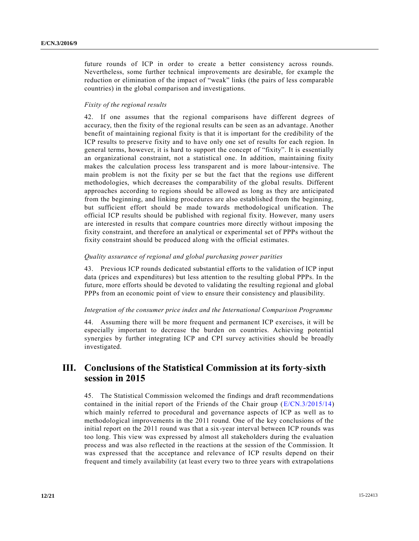future rounds of ICP in order to create a better consistency across rounds. Nevertheless, some further technical improvements are desirable, for example the reduction or elimination of the impact of "weak" links (the pairs of less comparable countries) in the global comparison and investigations.

## *Fixity of the regional results*

42. If one assumes that the regional comparisons have different degrees of accuracy, then the fixity of the regional results can be seen as an advantage. Another benefit of maintaining regional fixity is that it is important for the credibility of the ICP results to preserve fixity and to have only one set of results for each region. In general terms, however, it is hard to support the concept of "fixity". It is essentially an organizational constraint, not a statistical one. In addition, maintaining fixity makes the calculation process less transparent and is more labour-intensive. The main problem is not the fixity per se but the fact that the regions use different methodologies, which decreases the comparability of the global results. Different approaches according to regions should be allowed as long as they are anticipated from the beginning, and linking procedures are also established from the beginning, but sufficient effort should be made towards methodological unification. The official ICP results should be published with regional fixity. However, many users are interested in results that compare countries more directly without imposing the fixity constraint, and therefore an analytical or experimental set of PPPs without the fixity constraint should be produced along with the official estimates.

### *Quality assurance of regional and global purchasing power parities*

43. Previous ICP rounds dedicated substantial efforts to the validation of ICP input data (prices and expenditures) but less attention to the resulting global PPPs. In the future, more efforts should be devoted to validating the resulting regional and global PPPs from an economic point of view to ensure their consistency and plausibility.

### *Integration of the consumer price index and the International Comparison Programme*

44. Assuming there will be more frequent and permanent ICP exercises, it will be especially important to decrease the burden on countries. Achieving potential synergies by further integrating ICP and CPI survey activities should be broadly investigated.

# **III. Conclusions of the Statistical Commission at its forty-sixth session in 2015**

45. The Statistical Commission welcomed the findings and draft recommendations contained in the initial report of the Friends of the Chair group  $(E/CN.3/2015/14)$ which mainly referred to procedural and governance aspects of ICP as well as to methodological improvements in the 2011 round. One of the key conclusions of the initial report on the 2011 round was that a six-year interval between ICP rounds was too long. This view was expressed by almost all stakeholders during the evaluation process and was also reflected in the reactions at the session of the Commission. It was expressed that the acceptance and relevance of ICP results depend on their frequent and timely availability (at least every two to three years with extrapolations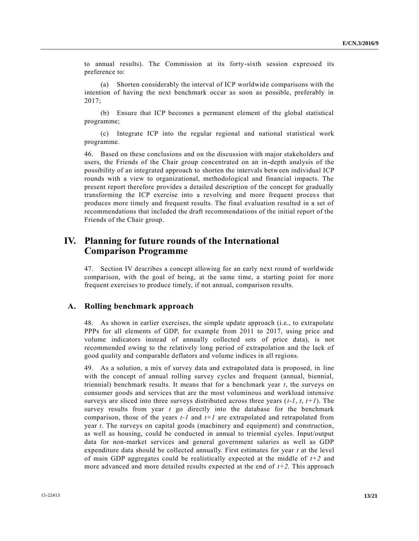to annual results). The Commission at its forty-sixth session expressed its preference to:

(a) Shorten considerably the interval of ICP worldwide comparisons with the intention of having the next benchmark occur as soon as possible, preferably in 2017;

(b) Ensure that ICP becomes a permanent element of the global statistical programme;

(c) Integrate ICP into the regular regional and national statistical work programme.

46. Based on these conclusions and on the discussion with major stakeholders and users, the Friends of the Chair group concentrated on an in-depth analysis of the possibility of an integrated approach to shorten the intervals between individual ICP rounds with a view to organizational, methodological and financial impacts. The present report therefore provides a detailed description of the concept for gradually transforming the ICP exercise into a revolving and more frequent process that produces more timely and frequent results. The final evaluation resulted in a set of recommendations that included the draft recommendations of the initial report of the Friends of the Chair group.

# **IV. Planning for future rounds of the International Comparison Programme**

47. Section IV describes a concept allowing for an early next round of worldwide comparison, with the goal of being, at the same time, a starting point for more frequent exercises to produce timely, if not annual, comparison results.

## **A. Rolling benchmark approach**

48. As shown in earlier exercises, the simple update approach (i.e., to extrapolate PPPs for all elements of GDP, for example from 2011 to 2017, using price and volume indicators instead of annually collected sets of price data), is not recommended owing to the relatively long period of extrapolation and the lack of good quality and comparable deflators and volume indices in all regions.

49. As a solution, a mix of survey data and extrapolated data is proposed, in line with the concept of annual rolling survey cycles and frequent (annual, biennial, triennial) benchmark results. It means that for a benchmark year *t*, the surveys on consumer goods and services that are the most voluminous and workload intensive surveys are sliced into three surveys distributed across three years (*t-1*, *t*, *t+1*). The survey results from year *t* go directly into the database for the benchmark comparison, those of the years *t-1* and *t+1* are extrapolated and retrapolated from year *t*. The surveys on capital goods (machinery and equipment) and construction, as well as housing, could be conducted in annual to triennial cycles. Input/output data for non-market services and general government salaries as well as GDP expenditure data should be collected annually. First estimates for year *t* at the level of main GDP aggregates could be realistically expected at the middle of *t+2* and more advanced and more detailed results expected at the end of *t+2*. This approach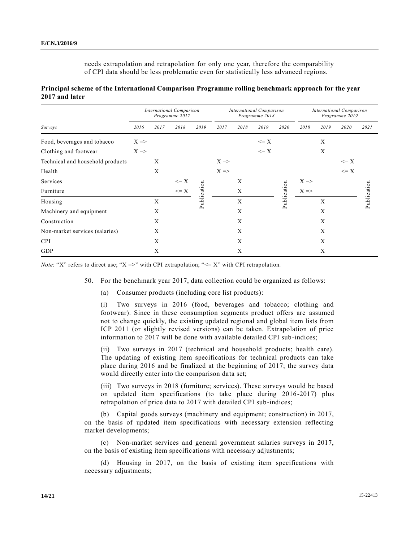needs extrapolation and retrapolation for only one year, therefore the comparability of CPI data should be less problematic even for statistically less advanced regions.

| Principal scheme of the International Comparison Programme rolling benchmark approach for the year |  |  |
|----------------------------------------------------------------------------------------------------|--|--|
| 2017 and later                                                                                     |  |  |

|                                  | <b>International Comparison</b><br>Programme 2017 |      |                 | International Comparison<br>Programme 2018 |                 |             | <b>International Comparison</b><br>Programme 2019 |             |                 |      |          |             |
|----------------------------------|---------------------------------------------------|------|-----------------|--------------------------------------------|-----------------|-------------|---------------------------------------------------|-------------|-----------------|------|----------|-------------|
| Surveys                          | 2016                                              | 2017 | 2018            | 2019                                       | 2017            | 2018        | 2019                                              | 2020        | 2018            | 2019 | 2020     | 2021        |
| Food, beverages and tobacco      | $X \Rightarrow$                                   |      |                 |                                            |                 |             | $\leq$ X                                          |             |                 | X    |          |             |
| Clothing and footwear            | $X \Rightarrow$                                   |      |                 |                                            |                 |             | $\leq$ X                                          |             |                 | X    |          |             |
| Technical and household products |                                                   | X    |                 |                                            | $X \Rightarrow$ |             |                                                   |             |                 |      | $\leq$ X |             |
| Health                           |                                                   | X    |                 |                                            | $X \Rightarrow$ |             |                                                   |             |                 |      | $\leq$ X |             |
| Services                         |                                                   |      | $\leq$ $\geq$ X |                                            |                 | X           |                                                   |             | $X \Rightarrow$ |      |          |             |
| Furniture                        |                                                   |      | $\leq$ X        |                                            |                 | X           |                                                   |             | $X \Rightarrow$ |      |          |             |
| Housing                          |                                                   | X    |                 | Publication                                |                 | $\mathbf X$ |                                                   | Publication |                 | X    |          | Publication |
| Machinery and equipment          |                                                   | X    |                 |                                            |                 | X           |                                                   |             |                 | X    |          |             |
| Construction                     |                                                   | X    |                 |                                            |                 | X           |                                                   |             |                 | X    |          |             |
| Non-market services (salaries)   |                                                   | X    |                 |                                            |                 | X           |                                                   |             |                 | X    |          |             |
| <b>CPI</b>                       |                                                   | X    |                 |                                            |                 | X           |                                                   |             |                 | X    |          |             |
| GDP                              |                                                   | X    |                 |                                            |                 | X           |                                                   |             |                 | X    |          |             |

*Note*: "X" refers to direct use; "X =>" with CPI extrapolation; " $\leq$  X" with CPI retrapolation.

50. For the benchmark year 2017, data collection could be organized as follows:

(a) Consumer products (including core list products):

(i) Two surveys in 2016 (food, beverages and tobacco; clothing and footwear). Since in these consumption segments product offers are assumed not to change quickly, the existing updated regional and global item lists from ICP 2011 (or slightly revised versions) can be taken. Extrapolation of price information to 2017 will be done with available detailed CPI sub-indices;

(ii) Two surveys in 2017 (technical and household products; health care). The updating of existing item specifications for technical products can take place during 2016 and be finalized at the beginning of 2017; the survey data would directly enter into the comparison data set;

(iii) Two surveys in 2018 (furniture; services). These surveys would be based on updated item specifications (to take place during 2016-2017) plus retrapolation of price data to 2017 with detailed CPI sub-indices;

(b) Capital goods surveys (machinery and equipment; construction) in 2017, on the basis of updated item specifications with necessary extension reflecting market developments;

(c) Non-market services and general government salaries surveys in 2017, on the basis of existing item specifications with necessary adjustments;

(d) Housing in 2017, on the basis of existing item specifications with necessary adjustments;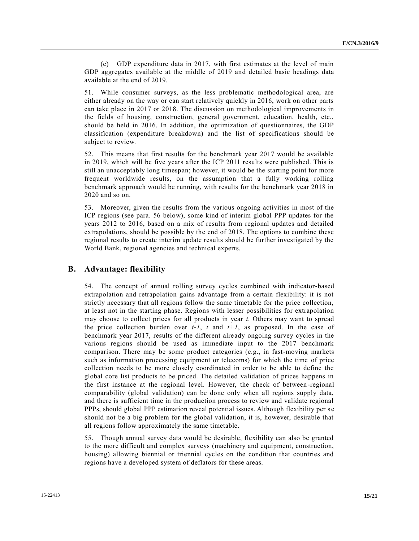(e) GDP expenditure data in 2017, with first estimates at the level of main GDP aggregates available at the middle of 2019 and detailed basic headings data available at the end of 2019.

51. While consumer surveys, as the less problematic methodological area, are either already on the way or can start relatively quickly in 2016, work on other parts can take place in 2017 or 2018. The discussion on methodological improvements in the fields of housing, construction, general government, education, health, etc., should be held in 2016. In addition, the optimization of questionnaires, the GDP classification (expenditure breakdown) and the list of specifications should be subject to review.

52. This means that first results for the benchmark year 2017 would be available in 2019, which will be five years after the ICP 2011 results were published. This is still an unacceptably long timespan; however, it would be the starting point for more frequent worldwide results, on the assumption that a fully working rolling benchmark approach would be running, with results for the benchmark year 2018 in 2020 and so on.

53. Moreover, given the results from the various ongoing activities in most of the ICP regions (see para. 56 below), some kind of interim global PPP updates for the years 2012 to 2016, based on a mix of results from regional updates and detailed extrapolations, should be possible by the end of 2018. The options to combine these regional results to create interim update results should be further investigated by the World Bank, regional agencies and technical experts.

## **B. Advantage: flexibility**

54. The concept of annual rolling survey cycles combined with indicator-based extrapolation and retrapolation gains advantage from a certain flexibility: it is not strictly necessary that all regions follow the same timetable for the price collection, at least not in the starting phase. Regions with lesser possibilities for extrapolation may choose to collect prices for all products in year *t*. Others may want to spread the price collection burden over  $t-l$ ,  $t$  and  $t+l$ , as proposed. In the case of benchmark year 2017, results of the different already ongoing survey cycles in the various regions should be used as immediate input to the 2017 benchmark comparison. There may be some product categories (e.g., in fast-moving markets such as information processing equipment or telecoms) for which the time of price collection needs to be more closely coordinated in order to be able to define the global core list products to be priced. The detailed validation of prices happens in the first instance at the regional level. However, the check of between-regional comparability (global validation) can be done only when all regions supply data, and there is sufficient time in the production process to review and validate regional PPPs, should global PPP estimation reveal potential issues. Although flexibility per s e should not be a big problem for the global validation, it is, however, desirable that all regions follow approximately the same timetable.

55. Though annual survey data would be desirable, flexibility can also be granted to the more difficult and complex surveys (machinery and equipment, construction, housing) allowing biennial or triennial cycles on the condition that countries and regions have a developed system of deflators for these areas.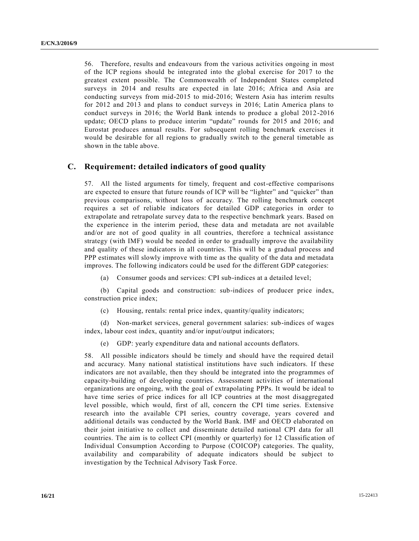56. Therefore, results and endeavours from the various activities ongoing in most of the ICP regions should be integrated into the global exercise for 2017 to the greatest extent possible. The Commonwealth of Independent States completed surveys in 2014 and results are expected in late 2016; Africa and Asia are conducting surveys from mid-2015 to mid-2016; Western Asia has interim results for 2012 and 2013 and plans to conduct surveys in 2016; Latin America plans to conduct surveys in 2016; the World Bank intends to produce a global 2012-2016 update; OECD plans to produce interim "update" rounds for 2015 and 2016; and Eurostat produces annual results. For subsequent rolling benchmark exercises it would be desirable for all regions to gradually switch to the general timetable as shown in the table above.

## **C. Requirement: detailed indicators of good quality**

57. All the listed arguments for timely, frequent and cost-effective comparisons are expected to ensure that future rounds of ICP will be "lighter" and "quicker" than previous comparisons, without loss of accuracy. The rolling benchmark concept requires a set of reliable indicators for detailed GDP categories in order to extrapolate and retrapolate survey data to the respective benchmark years. Based on the experience in the interim period, these data and metadata are not available and/or are not of good quality in all countries, therefore a technical assistance strategy (with IMF) would be needed in order to gradually improve the availability and quality of these indicators in all countries. This will be a gradual process and PPP estimates will slowly improve with time as the quality of the data and metadata improves. The following indicators could be used for the different GDP categories:

(a) Consumer goods and services: CPI sub-indices at a detailed level;

(b) Capital goods and construction: sub-indices of producer price index, construction price index;

(c) Housing, rentals: rental price index, quantity/quality indicators;

(d) Non-market services, general government salaries: sub-indices of wages index, labour cost index, quantity and/or input/output indicators;

(e) GDP: yearly expenditure data and national accounts deflators.

58. All possible indicators should be timely and should have the required detail and accuracy. Many national statistical institutions have such indicators. If these indicators are not available, then they should be integrated into the programmes of capacity-building of developing countries. Assessment activities of international organizations are ongoing, with the goal of extrapolating PPPs. It would be ideal to have time series of price indices for all ICP countries at the most disaggregated level possible, which would, first of all, concern the CPI time series. Extensive research into the available CPI series, country coverage, years covered and additional details was conducted by the World Bank. IMF and OECD elaborated on their joint initiative to collect and disseminate detailed national CPI data for all countries. The aim is to collect CPI (monthly or quarterly) for 12 Classific ation of Individual Consumption According to Purpose (COICOP) categories. The quality, availability and comparability of adequate indicators should be subject to investigation by the Technical Advisory Task Force.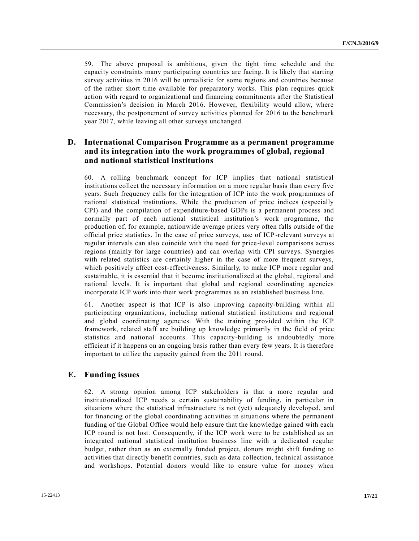59. The above proposal is ambitious, given the tight time schedule and the capacity constraints many participating countries are facing. It is likely that starting survey activities in 2016 will be unrealistic for some regions and countries because of the rather short time available for preparatory works. This plan requires quick action with regard to organizational and financing commitments after the Statistical Commission's decision in March 2016. However, flexibility would allow, where necessary, the postponement of survey activities planned for 2016 to the benchmark year 2017, while leaving all other surveys unchanged.

# **D. International Comparison Programme as a permanent programme and its integration into the work programmes of global, regional and national statistical institutions**

60. A rolling benchmark concept for ICP implies that national statistical institutions collect the necessary information on a more regular basis than every five years. Such frequency calls for the integration of ICP into the work programmes of national statistical institutions. While the production of price indices (especially CPI) and the compilation of expenditure-based GDPs is a permanent process and normally part of each national statistical institution's work programme, the production of, for example, nationwide average prices very often falls outside of the official price statistics. In the case of price surveys, use of ICP -relevant surveys at regular intervals can also coincide with the need for price-level comparisons across regions (mainly for large countries) and can overlap with CPI surveys. Synergies with related statistics are certainly higher in the case of more frequent surveys, which positively affect cost-effectiveness. Similarly, to make ICP more regular and sustainable, it is essential that it become institutionalized at the global, regional and national levels. It is important that global and regional coordinating agencies incorporate ICP work into their work programmes as an established business line.

61. Another aspect is that ICP is also improving capacity-building within all participating organizations, including national statistical institutions and regional and global coordinating agencies. With the training provided within the ICP framework, related staff are building up knowledge primarily in the field of price statistics and national accounts. This capacity-building is undoubtedly more efficient if it happens on an ongoing basis rather than every few years. It is therefore important to utilize the capacity gained from the 2011 round.

## **E. Funding issues**

62. A strong opinion among ICP stakeholders is that a more regular and institutionalized ICP needs a certain sustainability of funding, in particular in situations where the statistical infrastructure is not (yet) adequately developed, and for financing of the global coordinating activities in situations where the permanent funding of the Global Office would help ensure that the knowledge gained with each ICP round is not lost. Consequently, if the ICP work were to be established as an integrated national statistical institution business line with a dedicated regular budget, rather than as an externally funded project, donors might shift funding to activities that directly benefit countries, such as data collection, technical assistance and workshops. Potential donors would like to ensure value for money when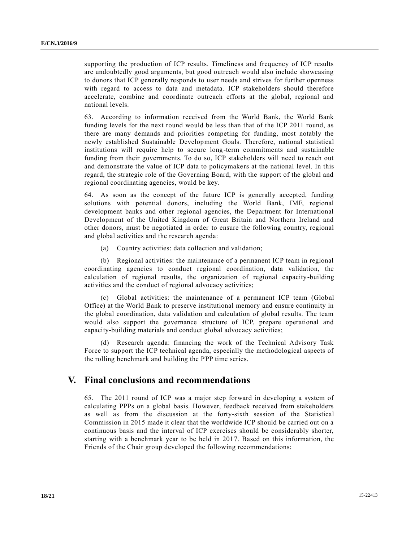supporting the production of ICP results. Timeliness and frequency of ICP results are undoubtedly good arguments, but good outreach would also include showcasing to donors that ICP generally responds to user needs and strives for further openness with regard to access to data and metadata. ICP stakeholders should therefore accelerate, combine and coordinate outreach efforts at the global, regional and national levels.

63. According to information received from the World Bank, the World Bank funding levels for the next round would be less than that of the ICP 2011 round, as there are many demands and priorities competing for funding, most notably the newly established Sustainable Development Goals. Therefore, national statistical institutions will require help to secure long-term commitments and sustainable funding from their governments. To do so, ICP stakeholders will need to reach out and demonstrate the value of ICP data to policymakers at the national level. In this regard, the strategic role of the Governing Board, with the support of the global and regional coordinating agencies, would be key.

64. As soon as the concept of the future ICP is generally accepted, funding solutions with potential donors, including the World Bank, IMF, regional development banks and other regional agencies, the Department for International Development of the United Kingdom of Great Britain and Northern Ireland and other donors, must be negotiated in order to ensure the following country, regional and global activities and the research agenda:

(a) Country activities: data collection and validation;

(b) Regional activities: the maintenance of a permanent ICP team in regional coordinating agencies to conduct regional coordination, data validation, the calculation of regional results, the organization of regional capacity-building activities and the conduct of regional advocacy activities;

(c) Global activities: the maintenance of a permanent ICP team (Global Office) at the World Bank to preserve institutional memory and ensure continuity in the global coordination, data validation and calculation of global results. The team would also support the governance structure of ICP, prepare operational and capacity-building materials and conduct global advocacy activities;

(d) Research agenda: financing the work of the Technical Advisory Task Force to support the ICP technical agenda, especially the methodological aspects of the rolling benchmark and building the PPP time series.

# **V. Final conclusions and recommendations**

65. The 2011 round of ICP was a major step forward in developing a system of calculating PPPs on a global basis. However, feedback received from stakeholders as well as from the discussion at the forty-sixth session of the Statistical Commission in 2015 made it clear that the worldwide ICP should be carried out on a continuous basis and the interval of ICP exercises should be considerably shorter, starting with a benchmark year to be held in 2017. Based on this information, the Friends of the Chair group developed the following recommendations: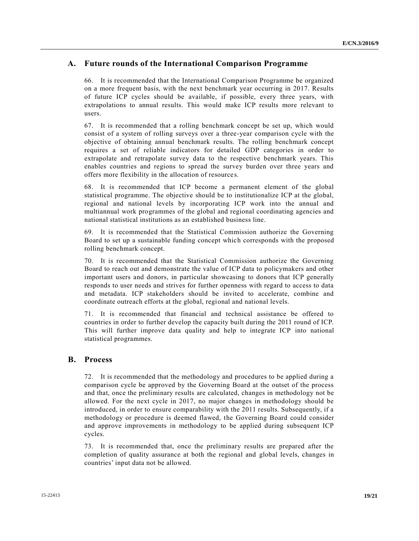# **A. Future rounds of the International Comparison Programme**

66. It is recommended that the International Comparison Programme be organized on a more frequent basis, with the next benchmark year occurring in 2017. Results of future ICP cycles should be available, if possible, every three years, with extrapolations to annual results. This would make ICP results more relevant to users.

67. It is recommended that a rolling benchmark concept be set up, which would consist of a system of rolling surveys over a three-year comparison cycle with the objective of obtaining annual benchmark results. The rolling benchmark concept requires a set of reliable indicators for detailed GDP categories in order to extrapolate and retrapolate survey data to the respective benchmark years. This enables countries and regions to spread the survey burden over three years and offers more flexibility in the allocation of resources.

68. It is recommended that ICP become a permanent element of the global statistical programme. The objective should be to institutionalize ICP at the global, regional and national levels by incorporating ICP work into the annual and multiannual work programmes of the global and regional coordinating agencies and national statistical institutions as an established business line.

69. It is recommended that the Statistical Commission authorize the Governing Board to set up a sustainable funding concept which corresponds with the proposed rolling benchmark concept.

70. It is recommended that the Statistical Commission authorize the Governing Board to reach out and demonstrate the value of ICP data to policymakers and other important users and donors, in particular showcasing to donors that ICP generally responds to user needs and strives for further openness with regard to access to data and metadata. ICP stakeholders should be invited to accelerate, combine and coordinate outreach efforts at the global, regional and national levels.

71. It is recommended that financial and technical assistance be offered to countries in order to further develop the capacity built during the 2011 round of ICP. This will further improve data quality and help to integrate ICP into national statistical programmes.

# **B. Process**

72. It is recommended that the methodology and procedures to be applied during a comparison cycle be approved by the Governing Board at the outset of the process and that, once the preliminary results are calculated, changes in methodology not be allowed. For the next cycle in 2017, no major changes in methodology should be introduced, in order to ensure comparability with the 2011 results. Subsequently, if a methodology or procedure is deemed flawed, the Governing Board could consider and approve improvements in methodology to be applied during subsequent ICP cycles.

73. It is recommended that, once the preliminary results are prepared after the completion of quality assurance at both the regional and global levels, changes in countries' input data not be allowed.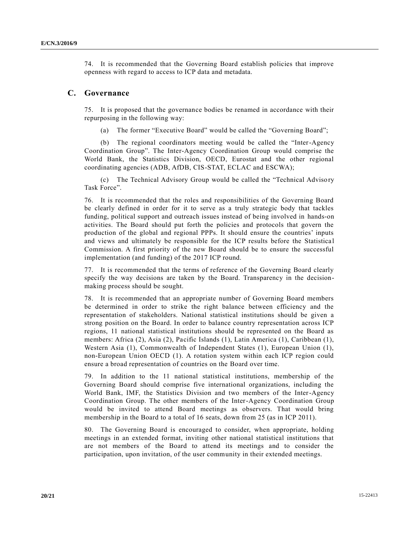74. It is recommended that the Governing Board establish policies that improve openness with regard to access to ICP data and metadata.

## **C. Governance**

75. It is proposed that the governance bodies be renamed in accordance with their repurposing in the following way:

(a) The former "Executive Board" would be called the "Governing Board";

(b) The regional coordinators meeting would be called the "Inter-Agency Coordination Group". The Inter-Agency Coordination Group would comprise the World Bank, the Statistics Division, OECD, Eurostat and the other regional coordinating agencies (ADB, AfDB, CIS-STAT, ECLAC and ESCWA);

(c) The Technical Advisory Group would be called the "Technical Advisory Task Force".

76. It is recommended that the roles and responsibilities of the Governing Board be clearly defined in order for it to serve as a truly strategic body that tackles funding, political support and outreach issues instead of being involved in hands-on activities. The Board should put forth the policies and protocols that govern the production of the global and regional PPPs. It should ensure the countries' inputs and views and ultimately be responsible for the ICP results before the Statistica l Commission. A first priority of the new Board should be to ensure the successful implementation (and funding) of the 2017 ICP round.

77. It is recommended that the terms of reference of the Governing Board clearly specify the way decisions are taken by the Board. Transparency in the decisionmaking process should be sought.

78. It is recommended that an appropriate number of Governing Board members be determined in order to strike the right balance between efficiency and the representation of stakeholders. National statistical institutions should be given a strong position on the Board. In order to balance country representation across ICP regions, 11 national statistical institutions should be represented on the Board as members: Africa (2), Asia (2), Pacific Islands (1), Latin America (1), Caribbean (1), Western Asia (1), Commonwealth of Independent States (1), European Union (1), non-European Union OECD (1). A rotation system within each ICP region could ensure a broad representation of countries on the Board over time.

79. In addition to the 11 national statistical institutions, membership of the Governing Board should comprise five international organizations, including the World Bank, IMF, the Statistics Division and two members of the Inter-Agency Coordination Group. The other members of the Inter-Agency Coordination Group would be invited to attend Board meetings as observers. That would bring membership in the Board to a total of 16 seats, down from 25 (as in ICP 2011).

80. The Governing Board is encouraged to consider, when appropriate, holding meetings in an extended format, inviting other national statistical institutions that are not members of the Board to attend its meetings and to consider the participation, upon invitation, of the user community in their extended meetings.